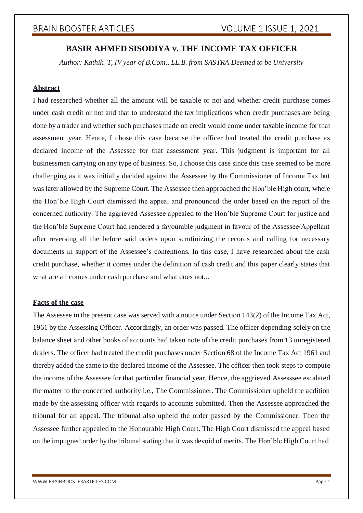# **BASIR AHMED SISODIYA v. THE INCOME TAX OFFICER**

*Author: Kathik. T, IV year of B.Com., LL.B. from SASTRA Deemed to be University*

## **Abstract**

I had researched whether all the amount will be taxable or not and whether credit purchase comes under cash credit or not and that to understand the tax implications when credit purchases are being done by a trader and whether such purchases made on credit would come under taxable income for that assessment year. Hence, I chose this case because the officer had treated the credit purchase as declared income of the Assessee for that assessment year. This judgment is important for all businessmen carrying on any type of business. So, I choose this case since this case seemed to be more challenging as it was initially decided against the Assessee by the Commissioner of Income Tax but was later allowed by the Supreme Court. The Assessee then approached the Hon'ble High court, where the Hon'ble High Court dismissed the appeal and pronounced the order based on the report of the concerned authority. The aggrieved Assessee appealed to the Hon'ble Supreme Court for justice and the Hon'ble Supreme Court had rendered a favourable judgment in favour of the Assessee/Appellant after reversing all the before said orders upon scrutinizing the records and calling for necessary documents in support of the Assessee's contentions. In this case, I have researched about the cash credit purchase, whether it comes under the definition of cash credit and this paper clearly states that what are all comes under cash purchase and what does not...

## **Facts of the case**

The Assessee in the present case was served with a notice under Section 143(2) ofthe Income Tax Act, 1961 by the Assessing Officer. Accordingly, an order was passed. The officer depending solely on the balance sheet and other books of accounts had taken note of the credit purchases from 13 unregistered dealers. The officer had treated the credit purchases under Section 68 of the Income Tax Act 1961 and thereby added the same to the declared income of the Assessee. The officer then took steps to compute the income of the Assessee for that particular financial year. Hence, the aggrieved Assesssee escalated the matter to the concerned authority i.e., The Commissioner. The Commissioner upheld the addition made by the assessing officer with regards to accounts submitted. Then the Assessee approached the tribunal for an appeal. The tribunal also upheld the order passed by the Commissioner. Then the Assessee further appealed to the Honourable High Court. The High Court dismissed the appeal based on the impugned order by the tribunal stating that it was devoid of merits. The Hon'ble High Court had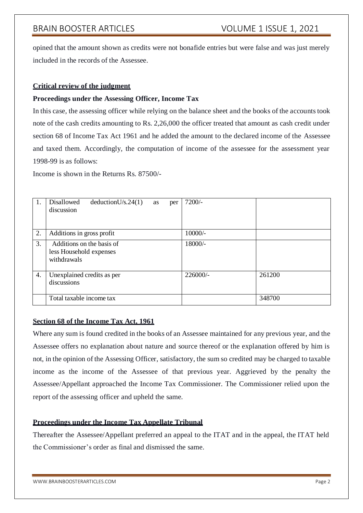opined that the amount shown as credits were not bonafide entries but were false and was just merely included in the records of the Assessee.

## **Critical review of the judgment**

## **Proceedings under the Assessing Officer, Income Tax**

In this case, the assessing officer while relying on the balance sheet and the books of the accountstook note of the cash credits amounting to Rs. 2,26,000 the officer treated that amount as cash credit under section 68 of Income Tax Act 1961 and he added the amount to the declared income of the Assessee and taxed them. Accordingly, the computation of income of the assessee for the assessment year 1998-99 is as follows:

Income is shown in the Returns Rs. 87500/-

| 1. | Disallowed<br>deductionU/s.24(1)<br>as<br>per<br>discussion         | $7200/-$ |        |
|----|---------------------------------------------------------------------|----------|--------|
| 2. | Additions in gross profit                                           | 10000/-  |        |
| 3. | Additions on the basis of<br>less Household expenses<br>withdrawals | 18000/-  |        |
| 4. | Unexplained credits as per<br>discussions                           | 226000/- | 261200 |
|    | Total taxable income tax                                            |          | 348700 |

## **Section 68 of the Income Tax Act, 1961**

Where any sum is found credited in the books of an Assessee maintained for any previous year, and the Assessee offers no explanation about nature and source thereof or the explanation offered by him is not, in the opinion of the Assessing Officer, satisfactory, the sum so credited may be charged to taxable income as the income of the Assessee of that previous year. Aggrieved by the penalty the Assessee/Appellant approached the Income Tax Commissioner. The Commissioner relied upon the report of the assessing officer and upheld the same.

## **Proceedings under the Income Tax Appellate Tribunal**

Thereafter the Assessee/Appellant preferred an appeal to the ITAT and in the appeal, the ITAT held the Commissioner's order as final and dismissed the same.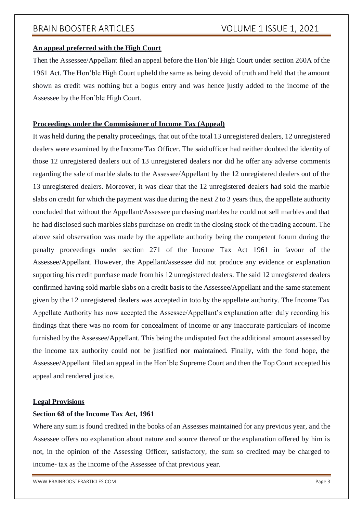### **An appeal preferred with the High Court**

Then the Assessee/Appellant filed an appeal before the Hon'ble High Court under section 260A of the 1961 Act. The Hon'ble High Court upheld the same as being devoid of truth and held that the amount shown as credit was nothing but a bogus entry and was hence justly added to the income of the Assessee by the Hon'ble High Court.

#### **Proceedings under the Commissioner of Income Tax (Appeal)**

It was held during the penalty proceedings, that out of the total 13 unregistered dealers, 12 unregistered dealers were examined by the Income Tax Officer. The said officer had neither doubted the identity of those 12 unregistered dealers out of 13 unregistered dealers nor did he offer any adverse comments regarding the sale of marble slabs to the Assessee/Appellant by the 12 unregistered dealers out of the 13 unregistered dealers. Moreover, it was clear that the 12 unregistered dealers had sold the marble slabs on credit for which the payment was due during the next 2 to 3 years thus, the appellate authority concluded that without the Appellant/Assessee purchasing marbles he could not sell marbles and that he had disclosed such marbles slabs purchase on credit in the closing stock of the trading account. The above said observation was made by the appellate authority being the competent forum during the penalty proceedings under section 271 of the Income Tax Act 1961 in favour of the Assessee/Appellant. However, the Appellant/assessee did not produce any evidence or explanation supporting his credit purchase made from his 12 unregistered dealers. The said 12 unregistered dealers confirmed having sold marble slabs on a credit basisto the Assessee/Appellant and the same statement given by the 12 unregistered dealers was accepted in toto by the appellate authority. The Income Tax Appellate Authority has now accepted the Assessee/Appellant's explanation after duly recording his findings that there was no room for concealment of income or any inaccurate particulars of income furnished by the Assessee/Appellant. This being the undisputed fact the additional amount assessed by the income tax authority could not be justified nor maintained. Finally, with the fond hope, the Assessee/Appellant filed an appeal in the Hon'ble Supreme Court and then the Top Court accepted his appeal and rendered justice.

#### **Legal Provisions**

## **Section 68 of the Income Tax Act, 1961**

Where any sum is found credited in the books of an Assesses maintained for any previous year, and the Assessee offers no explanation about nature and source thereof or the explanation offered by him is not, in the opinion of the Assessing Officer, satisfactory, the sum so credited may be charged to income- tax as the income of the Assessee of that previous year.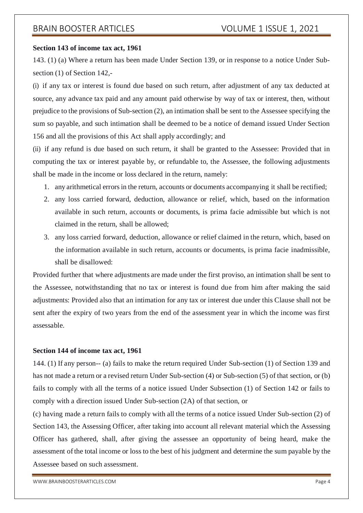### **Section 143 of income tax act, 1961**

143. (1) (a) Where a return has been made Under Section 139, or in response to a notice Under Subsection (1) of Section 142,-

(i) if any tax or interest is found due based on such return, after adjustment of any tax deducted at source, any advance tax paid and any amount paid otherwise by way of tax or interest, then, without prejudice to the provisions of Sub-section (2), an intimation shall be sent to the Assessee specifying the sum so payable, and such intimation shall be deemed to be a notice of demand issued Under Section 156 and all the provisions of this Act shall apply accordingly; and

(ii) if any refund is due based on such return, it shall be granted to the Assessee: Provided that in computing the tax or interest payable by, or refundable to, the Assessee, the following adjustments shall be made in the income or loss declared in the return, namely:

- 1. any arithmetical errorsin the return, accounts or documents accompanying it shall be rectified;
- 2. any loss carried forward, deduction, allowance or relief, which, based on the information available in such return, accounts or documents, is prima facie admissible but which is not claimed in the return, shall be allowed;
- 3. any loss carried forward, deduction, allowance or relief claimed in the return, which, based on the information available in such return, accounts or documents, is prima facie inadmissible, shall be disallowed:

Provided further that where adjustments are made under the first proviso, an intimation shall be sent to the Assessee, notwithstanding that no tax or interest is found due from him after making the said adjustments: Provided also that an intimation for any tax or interest due under this Clause shall not be sent after the expiry of two years from the end of the assessment year in which the income was first assessable.

## **Section 144 of income tax act, 1961**

144. (1) If any person-- (a) fails to make the return required Under Sub-section (1) of Section 139 and has not made a return or a revised return Under Sub-section (4) or Sub-section (5) of that section, or (b) fails to comply with all the terms of a notice issued Under Subsection (1) of Section 142 or fails to comply with a direction issued Under Sub-section (2A) of that section, or

(c) having made a return fails to comply with all the terms of a notice issued Under Sub-section (2) of Section 143, the Assessing Officer, after taking into account all relevant material which the Assessing Officer has gathered, shall, after giving the assessee an opportunity of being heard, make the assessment ofthe total income or loss to the best of his judgment and determine the sum payable by the Assessee based on such assessment.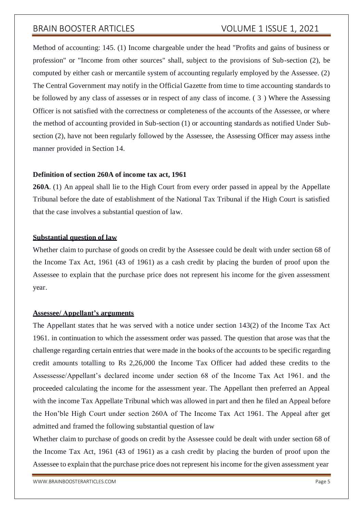Method of accounting: 145. (1) Income chargeable under the head "Profits and gains of business or profession" or "Income from other sources" shall, subject to the provisions of Sub-section (2), be computed by either cash or mercantile system of accounting regularly employed by the Assessee. (2) The Central Government may notify in the Official Gazette from time to time accounting standards to be followed by any class of assesses or in respect of any class of income. ( 3 ) Where the Assessing Officer is not satisfied with the correctness or completeness of the accounts of the Assessee, or where the method of accounting provided in Sub-section (1) or accounting standards as notified Under Subsection (2), have not been regularly followed by the Assessee, the Assessing Officer may assess inthe manner provided in Section 14.

#### **Definition of section 260A of income tax act, 1961**

**260A**. (1) An appeal shall lie to the High Court from every order passed in appeal by the Appellate Tribunal before the date of establishment of the National Tax Tribunal if the High Court is satisfied that the case involves a substantial question of law.

## **Substantial question of law**

Whether claim to purchase of goods on credit by the Assessee could be dealt with under section 68 of the Income Tax Act, 1961 (43 of 1961) as a cash credit by placing the burden of proof upon the Assessee to explain that the purchase price does not represent his income for the given assessment year.

#### **Assessee/ Appellant's arguments**

The Appellant states that he was served with a notice under section 143(2) of the Income Tax Act 1961. in continuation to which the assessment order was passed. The question that arose was that the challenge regarding certain entries that were made in the books of the accounts to be specific regarding credit amounts totalling to Rs 2,26,000 the Income Tax Officer had added these credits to the Assessesse/Appellant's declared income under section 68 of the Income Tax Act 1961. and the proceeded calculating the income for the assessment year. The Appellant then preferred an Appeal with the income Tax Appellate Tribunal which was allowed in part and then he filed an Appeal before the Hon'ble High Court under section 260A of The Income Tax Act 1961. The Appeal after get admitted and framed the following substantial question of law

Whether claim to purchase of goods on credit by the Assessee could be dealt with under section 68 of the Income Tax Act, 1961 (43 of 1961) as a cash credit by placing the burden of proof upon the Assessee to explain that the purchase price does not represent his income for the given assessment year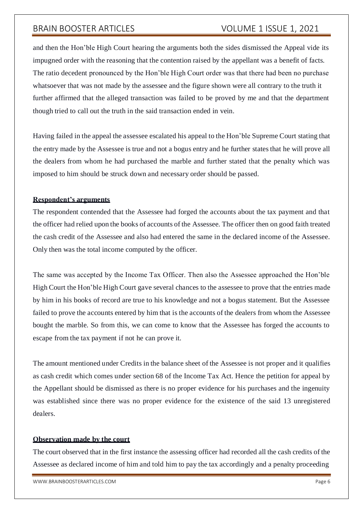and then the Hon'ble High Court hearing the arguments both the sides dismissed the Appeal vide its impugned order with the reasoning that the contention raised by the appellant was a benefit of facts. The ratio decedent pronounced by the Hon'ble High Court order was that there had been no purchase whatsoever that was not made by the assessee and the figure shown were all contrary to the truth it further affirmed that the alleged transaction was failed to be proved by me and that the department though tried to call out the truth in the said transaction ended in vein.

Having failed in the appeal the assessee escalated his appeal to the Hon'ble Supreme Court stating that the entry made by the Assessee is true and not a bogus entry and he further statesthat he will prove all the dealers from whom he had purchased the marble and further stated that the penalty which was imposed to him should be struck down and necessary order should be passed.

## **Respondent's arguments**

The respondent contended that the Assessee had forged the accounts about the tax payment and that the officer had relied upon the books of accounts of the Assessee. The officer then on good faith treated the cash credit of the Assessee and also had entered the same in the declared income of the Assessee. Only then was the total income computed by the officer.

The same was accepted by the Income Tax Officer. Then also the Assessee approached the Hon'ble High Court the Hon'ble High Court gave several chances to the assessee to prove that the entries made by him in his books of record are true to his knowledge and not a bogus statement. But the Assessee failed to prove the accounts entered by him that is the accounts of the dealers from whom the Assessee bought the marble. So from this, we can come to know that the Assessee has forged the accounts to escape from the tax payment if not he can prove it.

The amount mentioned under Credits in the balance sheet of the Assessee is not proper and it qualifies as cash credit which comes under section 68 of the Income Tax Act. Hence the petition for appeal by the Appellant should be dismissed as there is no proper evidence for his purchases and the ingenuity was established since there was no proper evidence for the existence of the said 13 unregistered dealers.

#### **Observation made by the court**

The court observed that in the first instance the assessing officer had recorded all the cash credits of the Assessee as declared income of him and told him to pay the tax accordingly and a penalty proceeding